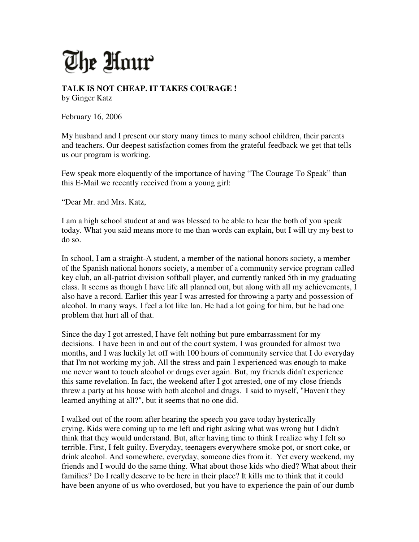## The Unur

**TALK IS NOT CHEAP. IT TAKES COURAGE !**  by Ginger Katz

February 16, 2006

My husband and I present our story many times to many school children, their parents and teachers. Our deepest satisfaction comes from the grateful feedback we get that tells us our program is working.

Few speak more eloquently of the importance of having "The Courage To Speak" than this E-Mail we recently received from a young girl:

"Dear Mr. and Mrs. Katz,

I am a high school student at and was blessed to be able to hear the both of you speak today. What you said means more to me than words can explain, but I will try my best to do so.

In school, I am a straight-A student, a member of the national honors society, a member of the Spanish national honors society, a member of a community service program called key club, an all-patriot division softball player, and currently ranked 5th in my graduating class. It seems as though I have life all planned out, but along with all my achievements, I also have a record. Earlier this year I was arrested for throwing a party and possession of alcohol. In many ways, I feel a lot like Ian. He had a lot going for him, but he had one problem that hurt all of that.

Since the day I got arrested, I have felt nothing but pure embarrassment for my decisions. I have been in and out of the court system, I was grounded for almost two months, and I was luckily let off with 100 hours of community service that I do everyday that I'm not working my job. All the stress and pain I experienced was enough to make me never want to touch alcohol or drugs ever again. But, my friends didn't experience this same revelation. In fact, the weekend after I got arrested, one of my close friends threw a party at his house with both alcohol and drugs. I said to myself, "Haven't they learned anything at all?", but it seems that no one did.

I walked out of the room after hearing the speech you gave today hysterically crying. Kids were coming up to me left and right asking what was wrong but I didn't think that they would understand. But, after having time to think I realize why I felt so terrible. First, I felt guilty. Everyday, teenagers everywhere smoke pot, or snort coke, or drink alcohol. And somewhere, everyday, someone dies from it. Yet every weekend, my friends and I would do the same thing. What about those kids who died? What about their families? Do I really deserve to be here in their place? It kills me to think that it could have been anyone of us who overdosed, but you have to experience the pain of our dumb